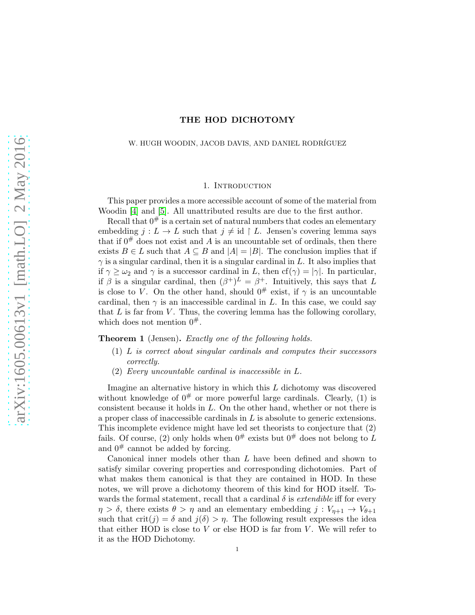# THE HOD DICHOTOMY

### W. HUGH WOODIN, JACOB DAVIS, AND DANIEL RODRÍGUEZ

### 1. Introduction

This paper provides a more accessible account of some of the material from Woodin [\[4\]](#page-18-0) and [\[5\]](#page-18-1). All unattributed results are due to the first author.

Recall that  $0^{\#}$  is a certain set of natural numbers that codes an elementary embedding  $j: L \to L$  such that  $j \neq id \upharpoonright L$ . Jensen's covering lemma says that if  $0^{\#}$  does not exist and A is an uncountable set of ordinals, then there exists  $B \in L$  such that  $A \subseteq B$  and  $|A| = |B|$ . The conclusion implies that if  $\gamma$  is a singular cardinal, then it is a singular cardinal in L. It also implies that if  $\gamma \geq \omega_2$  and  $\gamma$  is a successor cardinal in L, then  $cf(\gamma) = |\gamma|$ . In particular, if  $\beta$  is a singular cardinal, then  $(\beta^+)^L = \beta^+$ . Intuitively, this says that L is close to V. On the other hand, should  $0^{\#}$  exist, if  $\gamma$  is an uncountable cardinal, then  $\gamma$  is an inaccessible cardinal in L. In this case, we could say that  $L$  is far from  $V$ . Thus, the covering lemma has the following corollary, which does not mention  $0^{\#}$ .

Theorem 1 (Jensen). Exactly one of the following holds.

- (1) L is correct about singular cardinals and computes their successors correctly.
- (2) Every uncountable cardinal is inaccessible in L.

Imagine an alternative history in which this  $L$  dichotomy was discovered without knowledge of  $0^{\#}$  or more powerful large cardinals. Clearly, (1) is consistent because it holds in L. On the other hand, whether or not there is a proper class of inaccessible cardinals in  $L$  is absolute to generic extensions. This incomplete evidence might have led set theorists to conjecture that (2) fails. Of course, (2) only holds when  $0^{\#}$  exists but  $0^{\#}$  does not belong to L and  $0^{\#}$  cannot be added by forcing.

Canonical inner models other than L have been defined and shown to satisfy similar covering properties and corresponding dichotomies. Part of what makes them canonical is that they are contained in HOD. In these notes, we will prove a dichotomy theorem of this kind for HOD itself. Towards the formal statement, recall that a cardinal  $\delta$  is *extendible* iff for every  $\eta > \delta$ , there exists  $\theta > \eta$  and an elementary embedding  $j : V_{n+1} \to V_{\theta+1}$ such that  $\text{crit}(j) = \delta$  and  $j(\delta) > \eta$ . The following result expresses the idea that either HOD is close to  $V$  or else HOD is far from  $V$ . We will refer to it as the HOD Dichotomy.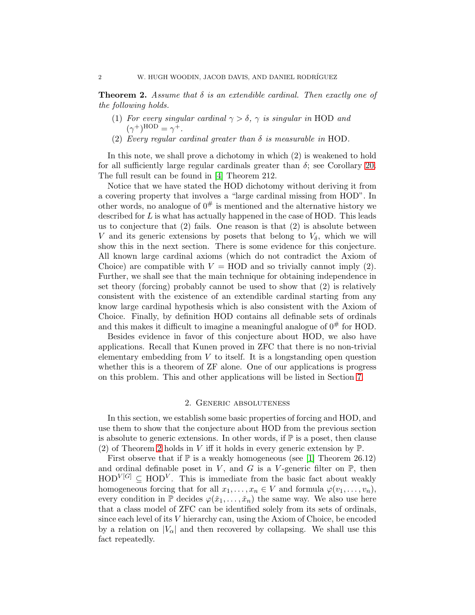<span id="page-1-0"></span>**Theorem 2.** Assume that  $\delta$  is an extendible cardinal. Then exactly one of the following holds.

- (1) For every singular cardinal  $\gamma > \delta$ ,  $\gamma$  is singular in HOD and  $(\gamma^+)^{\text{HOD}} = \gamma^+.$
- (2) Every regular cardinal greater than  $\delta$  is measurable in HOD.

In this note, we shall prove a dichotomy in which (2) is weakened to hold for all sufficiently large regular cardinals greater than  $\delta$ ; see Corollary [20.](#page-12-0) The full result can be found in [\[4\]](#page-18-0) Theorem 212.

Notice that we have stated the HOD dichotomy without deriving it from a covering property that involves a "large cardinal missing from HOD". In other words, no analogue of  $0^{\#}$  is mentioned and the alternative history we described for L is what has actually happened in the case of HOD. This leads us to conjecture that  $(2)$  fails. One reason is that  $(2)$  is absolute between V and its generic extensions by posets that belong to  $V_{\delta}$ , which we will show this in the next section. There is some evidence for this conjecture. All known large cardinal axioms (which do not contradict the Axiom of Choice) are compatible with  $V = HOD$  and so trivially cannot imply (2). Further, we shall see that the main technique for obtaining independence in set theory (forcing) probably cannot be used to show that (2) is relatively consistent with the existence of an extendible cardinal starting from any know large cardinal hypothesis which is also consistent with the Axiom of Choice. Finally, by definition HOD contains all definable sets of ordinals and this makes it difficult to imagine a meaningful analogue of  $0^{\#}$  for HOD.

Besides evidence in favor of this conjecture about HOD, we also have applications. Recall that Kunen proved in ZFC that there is no non-trivial elementary embedding from  $V$  to itself. It is a longstanding open question whether this is a theorem of ZF alone. One of our applications is progress on this problem. This and other applications will be listed in Section [7.](#page-17-0)

#### 2. Generic absoluteness

In this section, we establish some basic properties of forcing and HOD, and use them to show that the conjecture about HOD from the previous section is absolute to generic extensions. In other words, if  $\mathbb P$  is a poset, then clause (2) of Theorem [2](#page-1-0) holds in V iff it holds in every generic extension by  $\mathbb{P}$ .

First observe that if  $\mathbb P$  is a weakly homogeneous (see [\[1\]](#page-18-2) Theorem 26.12) and ordinal definable poset in V, and G is a V-generic filter on  $\mathbb{P}$ , then  $HOD^{V[G]} \subseteq HOD^{V}$ . This is immediate from the basic fact about weakly homogeneous forcing that for all  $x_1, \ldots, x_n \in V$  and formula  $\varphi(v_1, \ldots, v_n)$ , every condition in  $\mathbb P$  decides  $\varphi(\check{x}_1,\ldots,\check{x}_n)$  the same way. We also use here that a class model of ZFC can be identified solely from its sets of ordinals, since each level of its V hierarchy can, using the Axiom of Choice, be encoded by a relation on  $|V_{\alpha}|$  and then recovered by collapsing. We shall use this fact repeatedly.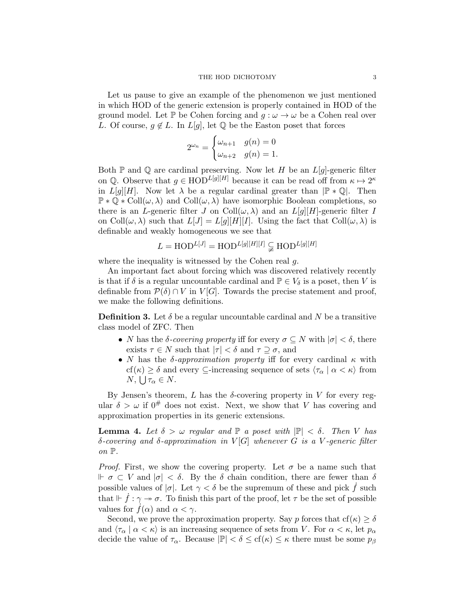Let us pause to give an example of the phenomenon we just mentioned in which HOD of the generic extension is properly contained in HOD of the ground model. Let P be Cohen forcing and  $g : \omega \to \omega$  be a Cohen real over L. Of course,  $g \notin L$ . In  $L[g]$ , let  $\mathbb Q$  be the Easton poset that forces

$$
2^{\omega_n} = \begin{cases} \omega_{n+1} & g(n) = 0 \\ \omega_{n+2} & g(n) = 1. \end{cases}
$$

Both  $\mathbb P$  and  $\mathbb Q$  are cardinal preserving. Now let H be an  $L[g]$ -generic filter on Q. Observe that  $g \in \text{HOD}^{L[g][H]}$  because it can be read off from  $\kappa \mapsto 2^{\kappa}$ in  $L[q][H]$ . Now let  $\lambda$  be a regular cardinal greater than  $\mathbb{P} * \mathbb{Q}$ . Then  $\mathbb{P} * \mathbb{Q} * \text{Coll}(\omega, \lambda)$  and  $\text{Coll}(\omega, \lambda)$  have isomorphic Boolean completions, so there is an L-generic filter J on Coll $(\omega, \lambda)$  and an  $L[q][H]$ -generic filter I on Coll $(\omega, \lambda)$  such that  $L[J] = L[g][H][I]$ . Using the fact that Coll $(\omega, \lambda)$  is definable and weakly homogeneous we see that

$$
L = \text{HOD}^{L[J]} = \text{HOD}^{L[g][H][I]} \subsetneq \text{HOD}^{L[g][H]}
$$

where the inequality is witnessed by the Cohen real q.

An important fact about forcing which was discovered relatively recently is that if  $\delta$  is a regular uncountable cardinal and  $\mathbb{P} \in V_{\delta}$  is a poset, then V is definable from  $\mathcal{P}(\delta) \cap V$  in  $V[G]$ . Towards the precise statement and proof, we make the following definitions.

**Definition 3.** Let  $\delta$  be a regular uncountable cardinal and N be a transitive class model of ZFC. Then

- N has the  $\delta$ -covering property iff for every  $\sigma \subseteq N$  with  $|\sigma| < \delta$ , there exists  $\tau \in N$  such that  $|\tau| < \delta$  and  $\tau \supseteq \sigma$ , and
- N has the  $\delta$ -approximation property iff for every cardinal  $\kappa$  with  $cf(\kappa) \geq \delta$  and every  $\subseteq$ -increasing sequence of sets  $\langle \tau_{\alpha} | \alpha \langle \kappa \rangle$  from  $N, \bigcup \tau_{\alpha} \in N.$

By Jensen's theorem, L has the  $\delta$ -covering property in V for every regular  $\delta > \omega$  if  $0^{\#}$  does not exist. Next, we show that V has covering and approximation properties in its generic extensions.

<span id="page-2-0"></span>**Lemma 4.** Let  $\delta > \omega$  regular and  $\mathbb{P}$  a poset with  $|\mathbb{P}| < \delta$ . Then V has δ-covering and δ-approximation in  $V[G]$  whenever G is a V-generic filter on  $\mathbb{P}$ .

*Proof.* First, we show the covering property. Let  $\sigma$  be a name such that  $\mathbb{F}$   $\sigma \subset V$  and  $|\sigma| < \delta$ . By the  $\delta$  chain condition, there are fewer than  $\delta$ possible values of  $|\sigma|$ . Let  $\gamma < \delta$  be the supremum of these and pick f such that  $\mathcal{F}$  :  $\gamma \rightarrow \sigma$ . To finish this part of the proof, let  $\tau$  be the set of possible values for  $f(\alpha)$  and  $\alpha < \gamma$ .

Second, we prove the approximation property. Say p forces that  $cf(\kappa) \ge \delta$ and  $\langle \tau_\alpha | \alpha \langle \kappa \rangle$  is an increasing sequence of sets from V. For  $\alpha \langle \kappa \rangle$  let  $p_\alpha$ decide the value of  $\tau_{\alpha}$ . Because  $|\mathbb{P}| < \delta \leq cf(\kappa) \leq \kappa$  there must be some  $p_{\beta}$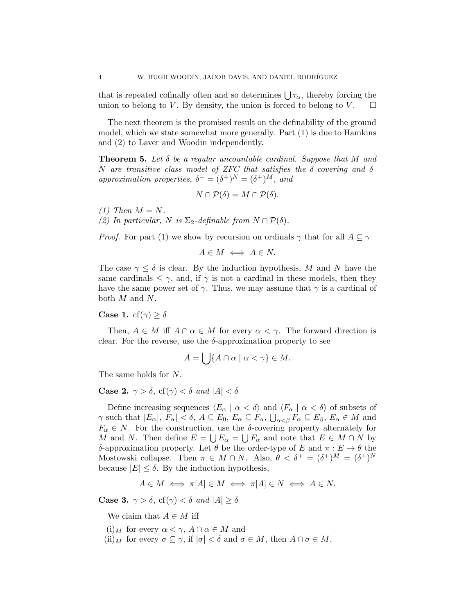that is repeated cofinally often and so determines  $\bigcup \tau_{\alpha}$ , thereby forcing the union to belong to V. By density, the union is forced to belong to V.  $\square$ 

The next theorem is the promised result on the definability of the ground model, which we state somewhat more generally. Part (1) is due to Hamkins and (2) to Laver and Woodin independently.

<span id="page-3-0"></span>**Theorem 5.** Let  $\delta$  be a regular uncountable cardinal. Suppose that M and N are transitive class model of ZFC that satisfies the  $\delta$ -covering and  $\delta$ approximation properties,  $\delta^+ = (\delta^+)^N = (\delta^+)^M$ , and

$$
N \cap \mathcal{P}(\delta) = M \cap \mathcal{P}(\delta).
$$

 $(1)$  Then  $M = N$ . (2) In particular, N is  $\Sigma_2$ -definable from  $N \cap \mathcal{P}(\delta)$ .

*Proof.* For part (1) we show by recursion on ordinals  $\gamma$  that for all  $A \subseteq \gamma$ 

$$
A \in M \iff A \in N.
$$

The case  $\gamma \leq \delta$  is clear. By the induction hypothesis, M and N have the same cardinals  $\leq \gamma$ , and, if  $\gamma$  is not a cardinal in these models, then they have the same power set of  $\gamma$ . Thus, we may assume that  $\gamma$  is a cardinal of both M and N.

**Case 1.** cf( $\gamma$ )  $\geq \delta$ 

Then,  $A \in M$  iff  $A \cap \alpha \in M$  for every  $\alpha < \gamma$ . The forward direction is clear. For the reverse, use the  $\delta$ -approximation property to see

$$
A = \bigcup \{ A \cap \alpha \mid \alpha < \gamma \} \in M.
$$

The same holds for N.

**Case 2.**  $\gamma > \delta$ , cf( $\gamma$ ) <  $\delta$  and  $|A| < \delta$ 

Define increasing sequences  $\langle E_\alpha | \alpha \langle \delta \rangle$  and  $\langle F_\alpha | \alpha \langle \delta \rangle$  of subsets of  $\gamma$  such that  $|E_{\alpha}|, |F_{\alpha}| < \delta$ ,  $A \subseteq E_0$ ,  $E_{\alpha} \subseteq F_{\alpha}$ ,  $\bigcup_{\alpha < \beta} F_{\alpha} \subseteq E_{\beta}$ ,  $E_{\alpha} \in M$  and  $F_{\alpha} \in N$ . For the construction, use the  $\delta$ -covering property alternately for M and N. Then define  $E = \bigcup E_{\alpha} = \bigcup F_{\alpha}$  and note that  $E \in M \cap N$  by δ-approximation property. Let  $\theta$  be the order-type of E and  $\pi : E \to \theta$  the Mostowski collapse. Then  $\pi \in M \cap N$ . Also,  $\theta < \delta^+ = (\delta^+)^M = (\delta^+)^N$ because  $|E| \leq \delta$ . By the induction hypothesis,

$$
A \in M \iff \pi[A] \in M \iff \pi[A] \in N \iff A \in N.
$$

**Case 3.**  $\gamma > \delta$ , cf( $\gamma$ ) <  $\delta$  and  $|A| \geq \delta$ 

We claim that  $A \in M$  iff

(i)<sub>M</sub> for every  $\alpha < \gamma$ ,  $A \cap \alpha \in M$  and

(ii)<sub>M</sub> for every  $\sigma \subseteq \gamma$ , if  $|\sigma| < \delta$  and  $\sigma \in M$ , then  $A \cap \sigma \in M$ .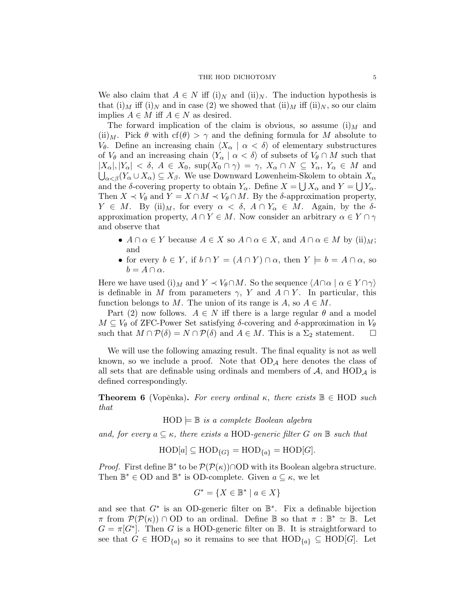We also claim that  $A \in N$  iff (i)<sub>N</sub> and (ii)<sub>N</sub>. The induction hypothesis is that  $(i)_M$  iff  $(i)_N$  and in case (2) we showed that  $(ii)_M$  iff  $(ii)_N$ , so our claim implies  $A \in M$  iff  $A \in N$  as desired.

The forward implication of the claim is obvious, so assume  $(i)$  and (ii)<sub>M</sub>. Pick  $\theta$  with cf( $\theta$ ) >  $\gamma$  and the defining formula for M absolute to V<sub>θ</sub>. Define an increasing chain  $\langle X_\alpha | \alpha \langle \delta \rangle$  of elementary substructures of  $V_{\theta}$  and an increasing chain  $\langle Y_{\alpha} | \alpha < \delta \rangle$  of subsets of  $V_{\theta} \cap M$  such that  $|X_\alpha|, |Y_\alpha| < \delta$ ,  $A \in X_0$ ,  $\sup(X_0 \cap \gamma) = \gamma$ ,  $X_\alpha \cap N \subseteq Y_\alpha$ ,  $Y_\alpha \in M$  and  $\bigcup_{\alpha<\beta}(Y_{\alpha}\cup X_{\alpha})\subseteq X_{\beta}$ . We use Downward Lowenheim-Skolem to obtain  $X_{\alpha}$ and the  $\delta$ -covering property to obtain  $Y_{\alpha}$ . Define  $X = \bigcup X_{\alpha}$  and  $Y = \bigcup Y_{\alpha}$ . Then  $X \prec V_{\theta}$  and  $Y = X \cap M \prec V_{\theta} \cap M$ . By the  $\delta$ -approximation property,  $Y \in M$ . By (ii) $_M$ , for every  $\alpha < \delta$ ,  $A \cap Y_\alpha \in M$ . Again, by the  $\delta$ approximation property,  $A \cap Y \in M$ . Now consider an arbitrary  $\alpha \in Y \cap \gamma$ and observe that

- $A \cap \alpha \in Y$  because  $A \in X$  so  $A \cap \alpha \in X$ , and  $A \cap \alpha \in M$  by (ii) $_M$ ; and
- for every  $b \in Y$ , if  $b \cap Y = (A \cap Y) \cap \alpha$ , then  $Y \models b = A \cap \alpha$ , so  $b = A \cap \alpha$ .

Here we have used (i)<sub>M</sub> and  $Y \prec V_{\theta} \cap M$ . So the sequence  $\langle A \cap \alpha \mid \alpha \in Y \cap \gamma \rangle$ is definable in M from parameters  $\gamma$ , Y and  $A \cap Y$ . In particular, this function belongs to M. The union of its range is  $A$ , so  $A \in M$ .

Part (2) now follows.  $A \in N$  iff there is a large regular  $\theta$  and a model  $M \subseteq V_{\theta}$  of ZFC-Power Set satisfying  $\delta$ -covering and  $\delta$ -approximation in  $V_{\theta}$ such that  $M \cap \mathcal{P}(\delta) = N \cap \mathcal{P}(\delta)$  and  $A \in M$ . This is a  $\Sigma_2$  statement.  $\square$ 

We will use the following amazing result. The final equality is not as well known, so we include a proof. Note that  $OD<sub>A</sub>$  here denotes the class of all sets that are definable using ordinals and members of  $A$ , and  $HOD<sub>A</sub>$  is defined correspondingly.

<span id="page-4-0"></span>**Theorem 6** (Vopěnka). For every ordinal  $\kappa$ , there exists  $\mathbb{B} \in \text{HOD}$  such that

 $HOD \models \mathbb{B}$  is a complete Boolean algebra

and, for every  $a \subseteq \kappa$ , there exists a HOD-generic filter G on  $\mathbb B$  such that

 $HOD[a] \subseteq HOD_{\{G\}} = HOD_{\{a\}} = HOD[G].$ 

*Proof.* First define  $\mathbb{B}^*$  to be  $\mathcal{P}(\mathcal{P}(\kappa)) \cap OD$  with its Boolean algebra structure. Then  $\mathbb{B}^* \in$  OD and  $\mathbb{B}^*$  is OD-complete. Given  $a \subseteq \kappa$ , we let

$$
G^* = \{ X \in \mathbb{B}^* \mid a \in X \}
$$

and see that  $G^*$  is an OD-generic filter on  $\mathbb{B}^*$ . Fix a definable bijection  $\pi$  from  $\mathcal{P}(\mathcal{P}(\kappa)) \cap$  OD to an ordinal. Define  $\mathbb{B}$  so that  $\pi : \mathbb{B}^* \simeq \mathbb{B}$ . Let  $G = \pi[G^*]$ . Then G is a HOD-generic filter on B. It is straightforward to see that  $G \in \text{HOD}_{\{a\}}$  so it remains to see that  $\text{HOD}_{\{a\}} \subseteq \text{HOD}[G]$ . Let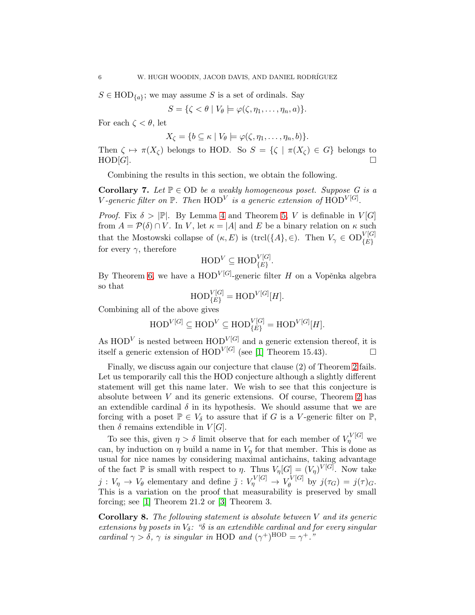$S \in \text{HOD}_{\{a\}}$ ; we may assume S is a set of ordinals. Say

$$
S = \{ \zeta < \theta \mid V_{\theta} \models \varphi(\zeta, \eta_1, \dots, \eta_n, a) \}.
$$

For each  $\zeta < \theta$ , let

$$
X_{\zeta} = \{b \subseteq \kappa \mid V_{\theta} \models \varphi(\zeta, \eta_1, \ldots, \eta_n, b)\}.
$$

Then  $\zeta \mapsto \pi(X_{\zeta})$  belongs to HOD. So  $S = {\zeta \mid \pi(X_{\zeta}) \in G}$  belongs to  $HOD[G]$ .

Combining the results in this section, we obtain the following.

<span id="page-5-0"></span>**Corollary 7.** Let  $\mathbb{P} \in$  OD be a weakly homogeneous poset. Suppose G is a V-generic filter on  $\mathbb P$ . Then  $\mathrm{HOD}^V$  is a generic extension of  $\mathrm{HOD}^{V[G]}.$ 

*Proof.* Fix  $\delta > |\mathbb{P}|$ . By Lemma [4](#page-2-0) and Theorem [5,](#page-3-0) V is definable in  $V[G]$ from  $A = \mathcal{P}(\delta) \cap V$ . In V, let  $\kappa = |A|$  and E be a binary relation on  $\kappa$  such that the Mostowski collapse of  $(\kappa, E)$  is  $(\text{trcl}(\{A\}, \in)$ . Then  $V_{\gamma} \in OD_{\{E\}}^{V[G]}$ for every  $\gamma$ , therefore

$$
\mathrm{HOD}^V \subseteq \mathrm{HOD}_{\{E\}}^{V[G]}.
$$

By Theorem [6,](#page-4-0) we have a  $\text{HOD}^{V[G]}$ -generic filter H on a Vopěnka algebra so that

$$
\mathrm{HOD}_{\{E\}}^{V[G]} = \mathrm{HOD}^{V[G]}[H].
$$

Combining all of the above gives

$$
\mathrm{HOD}^{\mathrm{V}[G]} \subseteq \mathrm{HOD}^{\mathrm{V}} \subseteq \mathrm{HOD}_{\{E\}}^{\mathrm{V}[G]} = \mathrm{HOD}^{\mathrm{V}[G]}[H].
$$

As  $HOD<sup>V</sup>$  is nested between  $HOD<sup>V[G]</sup>$  and a generic extension thereof, it is itself a generic extension of  $\text{HOD}^{V[G]}$  (see [\[1\]](#page-18-2) Theorem 15.43).

Finally, we discuss again our conjecture that clause (2) of Theorem [2](#page-1-0) fails. Let us temporarily call this the HOD conjecture although a slightly different statement will get this name later. We wish to see that this conjecture is absolute between V and its generic extensions. Of course, Theorem [2](#page-1-0) has an extendible cardinal  $\delta$  in its hypothesis. We should assume that we are forcing with a poset  $\mathbb{P} \in V_{\delta}$  to assure that if G is a V-generic filter on  $\mathbb{P}$ , then  $\delta$  remains extendible in  $V[G]$ .

To see this, given  $\eta > \delta$  limit observe that for each member of  $V_{\eta}^{V[G]}$  we can, by induction on  $\eta$  build a name in  $V_n$  for that member. This is done as usual for nice names by considering maximal antichains, taking advantage of the fact  $\mathbb P$  is small with respect to  $\eta$ . Thus  $V_{\eta}[G] = (V_{\eta})^{V[G]}$ . Now take  $j: V_{\eta} \to V_{\theta}$  elementary and define  $\tilde{j}: V_{\eta}^{V[G]} \to V_{\theta}^{V[G]}$  $\int_{\theta}^{\tau} \int_{\theta}^{\lfloor \mathbf{G} \rfloor}$  by  $j(\tau_G) = j(\tau)_G$ . This is a variation on the proof that measurability is preserved by small forcing; see [\[1\]](#page-18-2) Theorem 21.2 or [\[3\]](#page-18-3) Theorem 3.

**Corollary 8.** The following statement is absolute between  $V$  and its generic extensions by posets in  $V_{\delta}$ : " $\delta$  is an extendible cardinal and for every singular cardinal  $\gamma > \delta$ ,  $\gamma$  is singular in HOD and  $(\gamma^+)^{\text{HOD}} = \gamma^+$ ."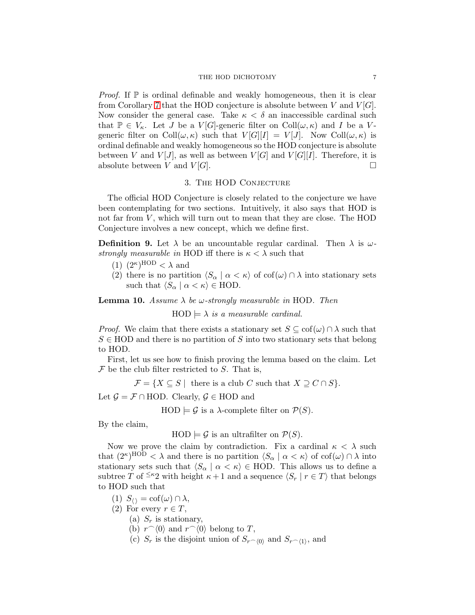*Proof.* If  $\mathbb P$  is ordinal definable and weakly homogeneous, then it is clear from Corollary [7](#page-5-0) that the HOD conjecture is absolute between V and  $V[G]$ . Now consider the general case. Take  $\kappa < \delta$  an inaccessible cardinal such that  $\mathbb{P} \in V_{\kappa}$ . Let J be a  $V[G]$ -generic filter on  $\text{Coll}(\omega,\kappa)$  and I be a Vgeneric filter on Coll $(\omega, \kappa)$  such that  $V[G][I] = V[J]$ . Now Coll $(\omega, \kappa)$  is ordinal definable and weakly homogeneous so the HOD conjecture is absolute between V and  $V[J]$ , as well as between  $V[G]$  and  $V[G][I]$ . Therefore, it is absolute between V and  $V[G]$ .

### 3. The HOD Conjecture

The official HOD Conjecture is closely related to the conjecture we have been contemplating for two sections. Intuitively, it also says that HOD is not far from  $V$ , which will turn out to mean that they are close. The HOD Conjecture involves a new concept, which we define first.

**Definition 9.** Let  $\lambda$  be an uncountable regular cardinal. Then  $\lambda$  is  $\omega$ strongly measurable in HOD iff there is  $\kappa < \lambda$  such that

- $(1)$   $(2^{\kappa})^{\text{HOD}} < \lambda$  and
- (2) there is no partition  $\langle S_\alpha | \alpha \langle \kappa \rangle$  of cof( $\omega$ )  $\cap$   $\lambda$  into stationary sets such that  $\langle S_\alpha | \alpha \langle \kappa \rangle \in \text{HOD}.$

<span id="page-6-0"></span>**Lemma 10.** Assume  $\lambda$  be  $\omega$ -strongly measurable in HOD. Then

 $HOD \models \lambda$  is a measurable cardinal.

*Proof.* We claim that there exists a stationary set  $S \subseteq \text{cof}(\omega) \cap \lambda$  such that  $S \in \text{HOD}$  and there is no partition of S into two stationary sets that belong to HOD.

First, let us see how to finish proving the lemma based on the claim. Let  $\mathcal F$  be the club filter restricted to  $S$ . That is,

$$
\mathcal{F} = \{ X \subseteq S \mid \text{ there is a club } C \text{ such that } X \supseteq C \cap S \}.
$$

Let  $\mathcal{G} = \mathcal{F} \cap \text{HOD}$ . Clearly,  $\mathcal{G} \in \text{HOD}$  and

 $HOD \models \mathcal{G}$  is a  $\lambda$ -complete filter on  $\mathcal{P}(S)$ .

By the claim,

 $HOD \models \mathcal{G}$  is an ultrafilter on  $\mathcal{P}(S)$ .

Now we prove the claim by contradiction. Fix a cardinal  $\kappa < \lambda$  such that  $(2^{\kappa})^{\text{HOD}} < \lambda$  and there is no partition  $\langle S_{\alpha} | \alpha < \kappa \rangle$  of  $\text{cof}(\omega) \cap \lambda$  into stationary sets such that  $\langle S_\alpha | \alpha \langle \kappa \rangle \in \text{HOD}$ . This allows us to define a subtree T of <sup> $\leq \kappa_2$ </sup> with height  $\kappa + 1$  and a sequence  $\langle S_r | r \in T \rangle$  that belongs to HOD such that

- (1)  $S_{\langle\rangle} = \text{cof}(\omega) \cap \lambda$ ,
- (2) For every  $r \in T$ ,
	- (a)  $S_r$  is stationary,
	- (b)  $r^{\widehat{\ }}\langle 0\rangle$  and  $r^{\widehat{\ }}\langle 0\rangle$  belong to T,
	- (c)  $S_r$  is the disjoint union of  $S_{r^{\frown}\langle 0 \rangle}$  and  $S_{r^{\frown}\langle 1 \rangle}$ , and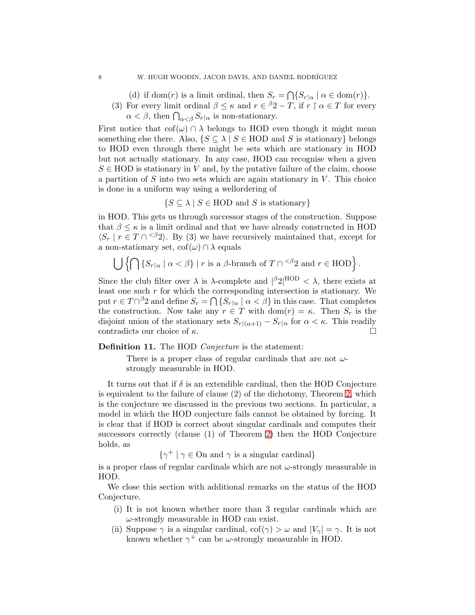(d) if dom(r) is a limit ordinal, then  $S_r = \bigcap \{ S_{r \upharpoonright \alpha} \mid \alpha \in \text{dom}(r) \}.$ 

(3) For every limit ordinal  $\beta \leq \kappa$  and  $r \in {}^{\beta}2 - T$ , if  $r \upharpoonright \alpha \in T$  for every  $\alpha < \beta$ , then  $\bigcap_{\alpha < \beta} S_{r \upharpoonright \alpha}$  is non-stationary.

First notice that  $\text{cof}(\omega) \cap \lambda$  belongs to HOD even though it might mean something else there. Also,  $\{S \subseteq \lambda \mid S \in \text{HOD} \text{ and } S \text{ is stationary}\}\$  belongs to HOD even through there might be sets which are stationary in HOD but not actually stationary. In any case, HOD can recognise when a given  $S \in \text{HOD}$  is stationary in V and, by the putative failure of the claim, choose a partition of  $S$  into two sets which are again stationary in  $V$ . This choice is done in a uniform way using a wellordering of

 $\{S \subseteq \lambda \mid S \in \text{HOD} \text{ and } S \text{ is stationary}\}\$ 

in HOD. This gets us through successor stages of the construction. Suppose that  $\beta \leq \kappa$  is a limit ordinal and that we have already constructed in HOD  $\langle S_r | r \in T \cap \langle \beta_2 \rangle$ . By (3) we have recursively maintained that, except for a non-stationary set,  $\text{cof}(\omega) \cap \lambda$  equals

$$
\bigcup \left\{ \bigcap \left\{ S_{r \upharpoonright \alpha} \mid \alpha < \beta \right\} \mid r \text{ is a } \beta\text{-branch of } T \cap ^{<\beta} 2 \text{ and } r \in \text{HOD} \right\}.
$$

Since the club filter over  $\lambda$  is  $\lambda$ -complete and  $\beta$ <sup>2</sup>|<sup>HOD</sup> <  $\lambda$ , there exists at least one such  $r$  for which the corresponding intersection is stationary. We put  $r \in T \cap \beta 2$  and define  $S_r = \bigcap \{ S_{r \restriction \alpha} \mid \alpha < \beta \}$  in this case. That completes the construction. Now take any  $r \in T$  with  $dom(r) = \kappa$ . Then  $S_r$  is the disjoint union of the stationary sets  $S_{r \upharpoonright (\alpha+1)} - S_{r \upharpoonright \alpha}$  for  $\alpha < \kappa$ . This readily contradicts our choice of  $\kappa$ .

<span id="page-7-0"></span>**Definition 11.** The HOD *Conjecture* is the statement:

There is a proper class of regular cardinals that are not  $\omega$ strongly measurable in HOD.

It turns out that if  $\delta$  is an extendible cardinal, then the HOD Conjecture is equivalent to the failure of clause (2) of the dichotomy, Theorem [2,](#page-1-0) which is the conjecture we discussed in the previous two sections. In particular, a model in which the HOD conjecture fails cannot be obtained by forcing. It is clear that if HOD is correct about singular cardinals and computes their successors correctly (clause (1) of Theorem [2\)](#page-1-0) then the HOD Conjecture holds, as

 $\{\gamma^+ \mid \gamma \in \text{On and } \gamma \text{ is a singular cardinal}\}\$ 

is a proper class of regular cardinals which are not  $\omega$ -strongly measurable in HOD.

We close this section with additional remarks on the status of the HOD Conjecture.

- (i) It is not known whether more than 3 regular cardinals which are  $\omega$ -strongly measurable in HOD can exist.
- (ii) Suppose  $\gamma$  is a singular cardinal,  $\text{cof}(\gamma) > \omega$  and  $|V_{\gamma}| = \gamma$ . It is not known whether  $\gamma^+$  can be  $\omega$ -strongly measurable in HOD.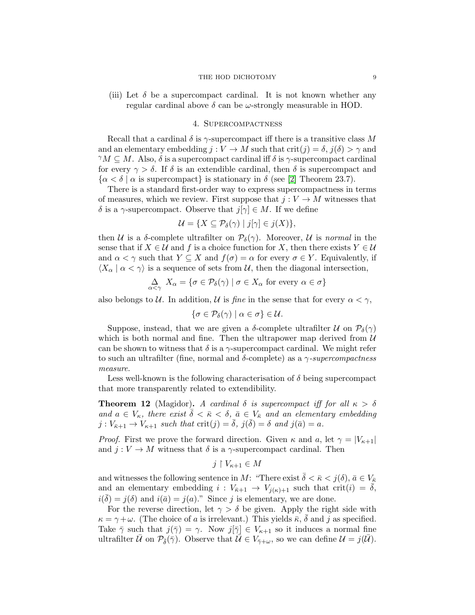### THE HOD DICHOTOMY 9

(iii) Let  $\delta$  be a supercompact cardinal. It is not known whether any regular cardinal above  $\delta$  can be  $\omega$ -strongly measurable in HOD.

## 4. Supercompactness

Recall that a cardinal  $\delta$  is  $\gamma$ -supercompact iff there is a transitive class M and an elementary embedding  $j: V \to M$  such that  $\text{crit}(j) = \delta, j(\delta) > \gamma$  and  $\gamma M \subset M$ . Also,  $\delta$  is a supercompact cardinal iff  $\delta$  is  $\gamma$ -supercompact cardinal for every  $\gamma > \delta$ . If  $\delta$  is an extendible cardinal, then  $\delta$  is supercompact and  $\{\alpha < \delta \mid \alpha \text{ is supercompact}\}\$ is stationary in  $\delta$  (see [\[2\]](#page-18-4) Theorem 23.7).

There is a standard first-order way to express supercompactness in terms of measures, which we review. First suppose that  $j: V \to M$  witnesses that δ is a  $\gamma$ -supercompact. Observe that  $j[\gamma] \in M$ . If we define

$$
\mathcal{U} = \{ X \subseteq \mathcal{P}_{\delta}(\gamma) \mid j[\gamma] \in j(X) \},
$$

then U is a  $\delta$ -complete ultrafilter on  $\mathcal{P}_{\delta}(\gamma)$ . Moreover, U is normal in the sense that if  $X \in \mathcal{U}$  and f is a choice function for X, then there exists  $Y \in \mathcal{U}$ and  $\alpha < \gamma$  such that  $Y \subseteq X$  and  $f(\sigma) = \alpha$  for every  $\sigma \in Y$ . Equivalently, if  $\langle X_{\alpha} \mid \alpha < \gamma \rangle$  is a sequence of sets from U, then the diagonal intersection,

$$
\Delta_{\alpha < \gamma} X_{\alpha} = \{ \sigma \in \mathcal{P}_{\delta}(\gamma) \mid \sigma \in X_{\alpha} \text{ for every } \alpha \in \sigma \}
$$

also belongs to U. In addition, U is fine in the sense that for every  $\alpha < \gamma$ ,

$$
\{\sigma\in\mathcal{P}_{\delta}(\gamma)\mid\alpha\in\sigma\}\in\mathcal{U}.
$$

Suppose, instead, that we are given a  $\delta$ -complete ultrafilter  $\mathcal U$  on  $\mathcal P_{\delta}(\gamma)$ which is both normal and fine. Then the ultrapower map derived from  $U$ can be shown to witness that  $\delta$  is a  $\gamma$ -supercompact cardinal. We might refer to such an ultrafilter (fine, normal and δ-complete) as a  $\gamma$ -supercompactness measure.

Less well-known is the following characterisation of  $\delta$  being supercompact that more transparently related to extendibility.

<span id="page-8-0"></span>**Theorem 12** (Magidor). A cardinal  $\delta$  is supercompact iff for all  $\kappa > \delta$ and  $a \in V_{\kappa}$ , there exist  $\overline{\delta} < \overline{\kappa} < \delta$ ,  $\overline{a} \in V_{\overline{\kappa}}$  and an elementary embedding  $j: V_{\bar{\kappa}+1} \to V_{\kappa+1}$  such that  $\mathrm{crit}(j) = \bar{\delta}, j(\bar{\delta}) = \delta$  and  $j(\bar{a}) = a$ .

*Proof.* First we prove the forward direction. Given  $\kappa$  and  $a$ , let  $\gamma = |V_{\kappa+1}|$ and  $j: V \to M$  witness that  $\delta$  is a  $\gamma$ -supercompact cardinal. Then

$$
j\restriction V_{\kappa+1}\in M
$$

and witnesses the following sentence in M: "There exist  $\bar{\delta} < \bar{\kappa} < j(\delta), \bar{a} \in V_{\bar{\kappa}}$ and an elementary embedding  $i: V_{\bar{\kappa}+1} \to V_{i(\kappa)+1}$  such that crit $(i) = \bar{\delta}$ ,  $i(\bar{\delta}) = j(\delta)$  and  $i(\bar{a}) = j(a)$ ." Since j is elementary, we are done.

For the reverse direction, let  $\gamma > \delta$  be given. Apply the right side with  $\kappa = \gamma + \omega$ . (The choice of a is irrelevant.) This yields  $\bar{\kappa}, \bar{\delta}$  and j as specified. Take  $\bar{\gamma}$  such that  $j(\bar{\gamma}) = \gamma$ . Now  $j[\bar{\gamma}] \in V_{\kappa+1}$  so it induces a normal fine ultrafilter U on  $\mathcal{P}_{\bar{\delta}}(\bar{\gamma})$ . Observe that  $\mathcal{U} \in V_{\bar{\gamma}+\omega}$ , so we can define  $\mathcal{U} = j(\mathcal{U})$ .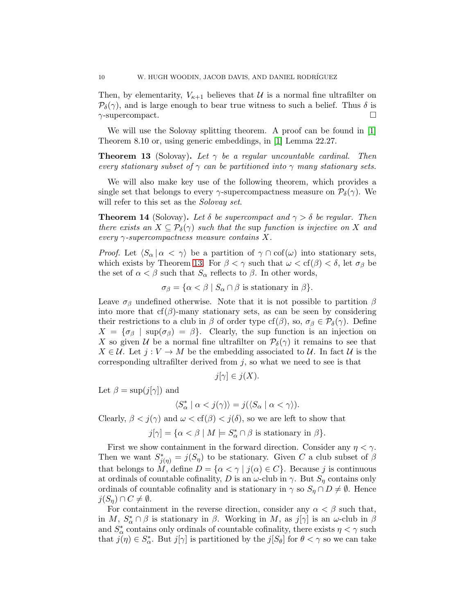Then, by elementarity,  $V_{\kappa+1}$  believes that U is a normal fine ultrafilter on  $\mathcal{P}_{\delta}(\gamma)$ , and is large enough to bear true witness to such a belief. Thus  $\delta$  is  $\gamma$ -supercompact.

We will use the Solovay splitting theorem. A proof can be found in [\[1\]](#page-18-2) Theorem 8.10 or, using generic embeddings, in [\[1\]](#page-18-2) Lemma 22.27.

<span id="page-9-0"></span>**Theorem 13** (Solovay). Let  $\gamma$  be a regular uncountable cardinal. Then every stationary subset of  $\gamma$  can be partitioned into  $\gamma$  many stationary sets.

We will also make key use of the following theorem, which provides a single set that belongs to every  $\gamma$ -supercompactness measure on  $\mathcal{P}_{\delta}(\gamma)$ . We will refer to this set as the *Solovay set*.

<span id="page-9-1"></span>**Theorem 14** (Solovay). Let  $\delta$  be supercompact and  $\gamma > \delta$  be regular. Then there exists an  $X \subseteq \mathcal{P}_{\delta}(\gamma)$  such that the sup function is injective on X and every  $\gamma$ -supercompactness measure contains X.

*Proof.* Let  $\langle S_\alpha | \alpha < \gamma \rangle$  be a partition of  $\gamma \cap \text{cof}(\omega)$  into stationary sets, which exists by Theorem [13.](#page-9-0) For  $\beta < \gamma$  such that  $\omega < \text{cf}(\beta) < \delta$ , let  $\sigma_{\beta}$  be the set of  $\alpha < \beta$  such that  $S_{\alpha}$  reflects to  $\beta$ . In other words,

 $\sigma_{\beta} = {\alpha < \beta \mid S_{\alpha} \cap \beta \text{ is stationary in }\beta}.$ 

Leave  $\sigma_{\beta}$  undefined otherwise. Note that it is not possible to partition  $\beta$ into more that  $cf(\beta)$ -many stationary sets, as can be seen by considering their restrictions to a club in  $\beta$  of order type cf( $\beta$ ), so,  $\sigma_{\beta} \in \mathcal{P}_{\delta}(\gamma)$ . Define  $X = {\sigma_{\beta}}$  sup $(\sigma_{\beta}) = \beta$ . Clearly, the sup function is an injection on X so given U be a normal fine ultrafilter on  $P_{\delta}(\gamma)$  it remains to see that  $X \in \mathcal{U}$ . Let  $j: V \to M$  be the embedding associated to  $\mathcal{U}$ . In fact  $\mathcal{U}$  is the corresponding ultrafilter derived from  $j$ , so what we need to see is that

$$
j[\gamma] \in j(X).
$$

Let  $\beta = \sup(j[\gamma])$  and

$$
\langle S^*_{\alpha} \mid \alpha < j(\gamma) \rangle = j(\langle S_{\alpha} \mid \alpha < \gamma \rangle).
$$

Clearly,  $\beta < j(\gamma)$  and  $\omega < \text{cf}(\beta) < j(\delta)$ , so we are left to show that

 $j[\gamma] = {\alpha < \beta \mid M \models S^*_{\alpha} \cap \beta \text{ is stationary in } \beta}.$ 

First we show containment in the forward direction. Consider any  $\eta < \gamma$ . Then we want  $S^*_{j(\eta)} = j(S_{\eta})$  to be stationary. Given C a club subset of  $\beta$ that belongs to M, define  $D = {\alpha < \gamma | j(\alpha) \in C}$ . Because j is continuous at ordinals of countable cofinality, D is an  $\omega$ -club in  $\gamma$ . But  $S_n$  contains only ordinals of countable cofinality and is stationary in  $\gamma$  so  $S_{\eta} \cap D \neq \emptyset$ . Hence  $j(S_n) \cap C \neq \emptyset$ .

For containment in the reverse direction, consider any  $\alpha < \beta$  such that, in M,  $S^*_{\alpha} \cap \beta$  is stationary in  $\beta$ . Working in M, as  $j[\gamma]$  is an  $\omega$ -club in  $\beta$ and  $S^*_\alpha$  contains only ordinals of countable cofinality, there exists  $\eta < \gamma$  such that  $j(\eta) \in S^*_{\alpha}$ . But  $j[\gamma]$  is partitioned by the  $j[S_{\theta}]$  for  $\theta < \gamma$  so we can take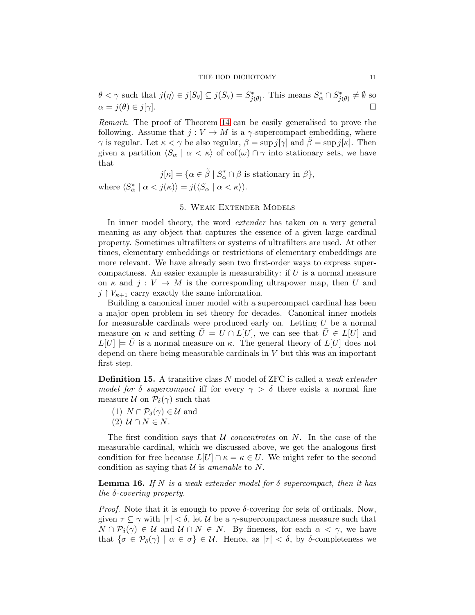$\theta < \gamma$  such that  $j(\eta) \in j[S_\theta] \subseteq j(S_\theta) = S^*_{j(\theta)}$ . This means  $S^*_\alpha \cap S^*_{j(\theta)} \neq \emptyset$  so  $\alpha = j(\theta) \in j[\gamma].$ 

Remark. The proof of Theorem [14](#page-9-1) can be easily generalised to prove the following. Assume that  $j: V \to M$  is a  $\gamma$ -supercompact embedding, where  $\gamma$  is regular. Let  $\kappa < \gamma$  be also regular,  $\beta = \sup j[\gamma]$  and  $\beta = \sup j[\kappa]$ . Then given a partition  $\langle S_\alpha | \alpha < \kappa \rangle$  of cof $(\omega) \cap \gamma$  into stationary sets, we have that

 $j[\kappa] = {\alpha \in \tilde{\beta} \mid S^*_{\alpha} \cap \beta \text{ is stationary in } \beta},$ 

where  $\langle S^*_{\alpha} \mid \alpha < j(\kappa) \rangle = j(\langle S_{\alpha} \mid \alpha < \kappa \rangle).$ 

# 5. Weak Extender Models

In inner model theory, the word *extender* has taken on a very general meaning as any object that captures the essence of a given large cardinal property. Sometimes ultrafilters or systems of ultrafilters are used. At other times, elementary embeddings or restrictions of elementary embeddings are more relevant. We have already seen two first-order ways to express supercompactness. An easier example is measurability: if  $U$  is a normal measure on  $\kappa$  and  $j: V \to M$  is the corresponding ultrapower map, then U and  $j \restriction V_{\kappa+1}$  carry exactly the same information.

Building a canonical inner model with a supercompact cardinal has been a major open problem in set theory for decades. Canonical inner models for measurable cardinals were produced early on. Letting  $U$  be a normal measure on  $\kappa$  and setting  $\overline{U} = U \cap L[U]$ , we can see that  $\overline{U} \in L[U]$  and  $L[U] \models U$  is a normal measure on  $\kappa$ . The general theory of  $L[U]$  does not depend on there being measurable cardinals in  $V$  but this was an important first step.

**Definition 15.** A transitive class N model of ZFC is called a *weak extender* model for δ supercompact iff for every  $\gamma > \delta$  there exists a normal fine measure U on  $P_{\delta}(\gamma)$  such that

- (1)  $N \cap \mathcal{P}_{\delta}(\gamma) \in \mathcal{U}$  and
- (2)  $U \cap N \in N$ .

The first condition says that  $U$  *concentrates* on  $N$ . In the case of the measurable cardinal, which we discussed above, we get the analogous first condition for free because  $L[U] \cap \kappa = \kappa \in U$ . We might refer to the second condition as saying that  $U$  is amenable to N.

<span id="page-10-0"></span>**Lemma 16.** If N is a weak extender model for  $\delta$  supercompact, then it has the  $\delta$ -covering property.

*Proof.* Note that it is enough to prove  $\delta$ -covering for sets of ordinals. Now, given  $\tau \subseteq \gamma$  with  $|\tau| < \delta$ , let U be a  $\gamma$ -supercompactness measure such that  $N \cap \mathcal{P}_{\delta}(\gamma) \in \mathcal{U}$  and  $\mathcal{U} \cap N \in N$ . By fineness, for each  $\alpha < \gamma$ , we have that  $\{\sigma \in \mathcal{P}_{\delta}(\gamma) \mid \alpha \in \sigma\} \in \mathcal{U}$ . Hence, as  $|\tau| < \delta$ , by  $\delta$ -completeness we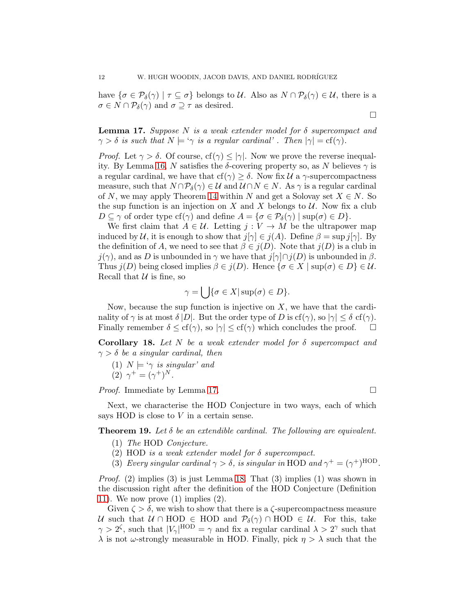have  $\{\sigma \in \mathcal{P}_{\delta}(\gamma) \mid \tau \subseteq \sigma\}$  belongs to U. Also as  $N \cap \mathcal{P}_{\delta}(\gamma) \in \mathcal{U}$ , there is a  $\sigma \in N \cap \mathcal{P}_{\delta}(\gamma)$  and  $\sigma \supseteq \tau$  as desired.

<span id="page-11-0"></span>**Lemma 17.** Suppose N is a weak extender model for  $\delta$  supercompact and  $\gamma > \delta$  is such that  $N \models \gamma$  is a regular cardinal'. Then  $|\gamma| = \text{cf}(\gamma)$ .

*Proof.* Let  $\gamma > \delta$ . Of course, cf( $\gamma$ )  $\leq |\gamma|$ . Now we prove the reverse inequal-ity. By Lemma [16,](#page-10-0) N satisfies the δ-covering property so, as N believes  $\gamma$  is a regular cardinal, we have that cf( $\gamma$ )  $\geq \delta$ . Now fix U a  $\gamma$ -supercompactness measure, such that  $N \cap \mathcal{P}_{\delta}(\gamma) \in \mathcal{U}$  and  $\mathcal{U} \cap N \in N$ . As  $\gamma$  is a regular cardinal of N, we may apply Theorem [14](#page-9-1) within N and get a Solovay set  $X \in N$ . So the sup function is an injection on  $X$  and  $X$  belongs to  $U$ . Now fix a club  $D \subseteq \gamma$  of order type cf( $\gamma$ ) and define  $A = {\sigma \in \mathcal{P}_{\delta}(\gamma) \mid \text{sup}(\sigma) \in D}.$ 

We first claim that  $A \in \mathcal{U}$ . Letting  $j: V \to M$  be the ultrapower map induced by U, it is enough to show that  $j[\gamma] \in j(A)$ . Define  $\beta = \sup j[\gamma]$ . By the definition of A, we need to see that  $\beta \in j(D)$ . Note that  $j(D)$  is a club in  $j(\gamma)$ , and as D is unbounded in  $\gamma$  we have that  $j[\gamma]\cap j(D)$  is unbounded in  $\beta$ . Thus  $j(D)$  being closed implies  $\beta \in j(D)$ . Hence  $\{\sigma \in X \mid \text{sup}(\sigma) \in D\} \in \mathcal{U}$ . Recall that  $\mathcal U$  is fine, so

$$
\gamma = \bigcup \{ \sigma \in X | \sup(\sigma) \in D \}.
$$

Now, because the sup function is injective on  $X$ , we have that the cardinality of  $\gamma$  is at most  $\delta |D|$ . But the order type of D is cf( $\gamma$ ), so  $|\gamma| \leq \delta$  cf( $\gamma$ ). Finally remember  $\delta \leq cf(\gamma)$ , so  $|\gamma| \leq cf(\gamma)$  which concludes the proof.  $\Box$ 

<span id="page-11-1"></span>Corollary 18. Let N be a weak extender model for  $\delta$  supercompact and  $\gamma > \delta$  be a singular cardinal, then

(1) 
$$
N \models \gamma
$$
 is singular' and  
(2)  $\gamma^+ = (\gamma^+)^N$ .

*Proof.* Immediate by Lemma [17.](#page-11-0) □

Next, we characterise the HOD Conjecture in two ways, each of which says HOD is close to  $V$  in a certain sense.

<span id="page-11-2"></span>**Theorem 19.** Let  $\delta$  be an extendible cardinal. The following are equivalent.

- (1) The HOD Conjecture.
- (2) HOD is a weak extender model for δ supercompact.
- (3) Every singular cardinal  $\gamma > \delta$ , is singular in HOD and  $\gamma^+ = (\gamma^+)^{\text{HOD}}$ .

*Proof.* (2) implies (3) is just Lemma [18.](#page-11-1) That (3) implies (1) was shown in the discussion right after the definition of the HOD Conjecture (Definition [11\)](#page-7-0). We now prove  $(1)$  implies  $(2)$ .

Given  $\zeta > \delta$ , we wish to show that there is a  $\zeta$ -supercompactness measure U such that  $U \cap \text{HOD} \in \text{HOD}$  and  $\mathcal{P}_{\delta}(\gamma) \cap \text{HOD} \in \mathcal{U}$ . For this, take  $\gamma > 2^{\zeta}$ , such that  $|V_{\gamma}|^{\text{HOD}} = \gamma$  and fix a regular cardinal  $\lambda > 2^{\gamma}$  such that  $\lambda$  is not  $\omega$ -strongly measurable in HOD. Finally, pick  $\eta > \lambda$  such that the

$$
\Box
$$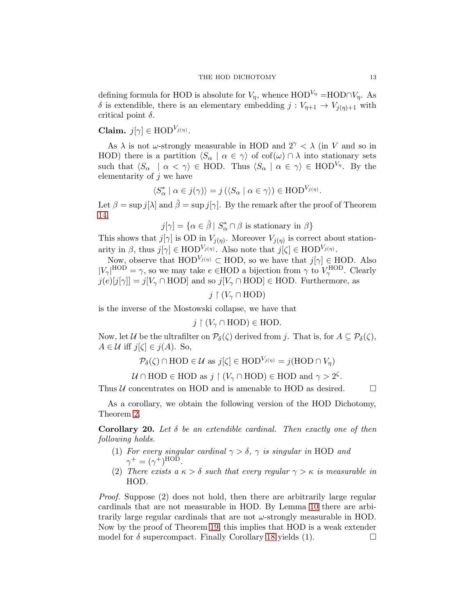defining formula for HOD is absolute for  $V_n$ , whence HOD<sup>V<sub>n</sub></sup> =HOD∩V<sub>n</sub>. As δ is extendible, there is an elementary embedding  $j: V_{η+1} \to V_{i(n)+1}$  with critical point  $\delta$ .

Claim.  $j[\gamma] \in \text{HOD}^{V_{j(\eta)}}$ .

As  $\lambda$  is not  $\omega$ -strongly measurable in HOD and  $2^{\gamma} < \lambda$  (in V and so in HOD) there is a partition  $\langle S_\alpha | \alpha \in \gamma \rangle$  of  $\text{cof}(\omega) \cap \lambda$  into stationary sets such that  $\langle S_\alpha \mid \alpha < \gamma \rangle \in \text{HOD.}$  Thus  $\langle S_\alpha \mid \alpha \in \gamma \rangle \in \text{HOD}^{V_\eta}$ . By the elementarity of  $j$  we have

$$
\langle S_{\alpha}^* \mid \alpha \in j(\gamma) \rangle = j \left( \langle S_{\alpha} \mid \alpha \in \gamma \rangle \right) \in \mathrm{HOD}^{V_{j(\eta)}}.
$$

Let  $\beta = \sup j[\lambda]$  and  $\tilde{\beta} = \sup j[\gamma]$ . By the remark after the proof of Theorem [14,](#page-9-1)

 $j[\gamma] = {\alpha \in \tilde{\beta} \mid S^*_{\alpha} \cap \beta \text{ is stationary in } \beta}$ 

This shows that  $j[\gamma]$  is OD in  $V_{j(\eta)}$ . Moreover  $V_{j(\eta)}$  is correct about stationarity in  $\beta$ , thus  $j[\gamma] \in \text{HOD}^{V_{j(\eta)}}$ . Also note that  $j[\zeta] \in \text{HOD}^{V_{j(\eta)}}$ .

Now, observe that  $HOD^{V_{j(\eta)}} \subset HOD$ , so we have that  $j[\gamma] \in HOD$ . Also  $|V_{\gamma}|^{\text{HOD}} = \gamma$ , so we may take  $e \in \text{HOD}$  a bijection from  $\gamma$  to  $V_{\gamma}^{\text{HOD}}$ . Clearly  $j(e)[j[\gamma]] = j[V_\gamma \cap \text{HOD}]$  and so  $j[V_\gamma \cap \text{HOD}] \in \text{HOD}$ . Furthermore, as

$$
j\restriction (V_\gamma\cap \textnormal{HOD})
$$

is the inverse of the Mostowski collapse, we have that

$$
j \restriction (V_\gamma \cap \text{HOD}) \in \text{HOD}.
$$

Now, let U be the ultrafilter on  $\mathcal{P}_{\delta}(\zeta)$  derived from j. That is, for  $A \subseteq \mathcal{P}_{\delta}(\zeta)$ ,  $A \in \mathcal{U}$  iff  $j[\zeta] \in j(A)$ . So,

$$
\mathcal{P}_{\delta}(\zeta) \cap \text{HOD} \in \mathcal{U} \text{ as } j[\zeta] \in \text{HOD}^{V_{j(\eta)}} = j(\text{HOD} \cap V_{\eta})
$$

 $\mathcal{U} \cap \text{HOD} \in \text{HOD}$  as  $j \restriction (V_\gamma \cap \text{HOD}) \in \text{HOD}$  and  $\gamma > 2^\zeta$ .

Thus  $U$  concentrates on HOD and is amenable to HOD as desired.  $\Box$ 

As a corollary, we obtain the following version of the HOD Dichotomy, Theorem [2.](#page-1-0)

<span id="page-12-0"></span>**Corollary 20.** Let  $\delta$  be an extendible cardinal. Then exactly one of then following holds.

- (1) For every singular cardinal  $\gamma > \delta$ ,  $\gamma$  is singular in HOD and  $\gamma^+ = (\gamma^+)^{\text{HOD}}.$
- (2) There exists a  $\kappa > \delta$  such that every regular  $\gamma > \kappa$  is measurable in HOD.

Proof. Suppose (2) does not hold, then there are arbitrarily large regular cardinals that are not measurable in HOD. By Lemma [10](#page-6-0) there are arbitrarily large regular cardinals that are not  $\omega$ -strongly measurable in HOD. Now by the proof of Theorem [19,](#page-11-2) this implies that HOD is a weak extender model for  $\delta$  supercompact. Finally Corollary [18](#page-11-1) yields (1).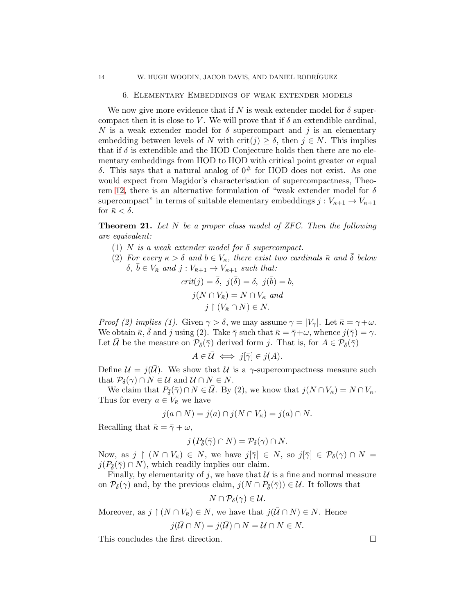#### 6. Elementary Embeddings of weak extender models

We now give more evidence that if N is weak extender model for  $\delta$  supercompact then it is close to V. We will prove that if  $\delta$  an extendible cardinal, N is a weak extender model for  $\delta$  supercompact and j is an elementary embedding between levels of N with crit(j)  $\geq \delta$ , then  $j \in N$ . This implies that if  $\delta$  is extendible and the HOD Conjecture holds then there are no elementary embeddings from HOD to HOD with critical point greater or equal δ. This says that a natural analog of  $0^#$  for HOD does not exist. As one would expect from Magidor's characterisation of supercompactness, Theo-rem [12,](#page-8-0) there is an alternative formulation of "weak extender model for  $\delta$ supercompact" in terms of suitable elementary embeddings  $j : V_{\bar{\kappa}+1} \to V_{\kappa+1}$ for  $\bar{\kappa} < \delta$ .

<span id="page-13-0"></span>**Theorem 21.** Let N be a proper class model of ZFC. Then the following are equivalent:

- (1) N is a weak extender model for  $\delta$  supercompact.
- (2) For every  $\kappa > \delta$  and  $b \in V_{\kappa}$ , there exist two cardinals  $\bar{\kappa}$  and  $\bar{\delta}$  below  $\delta, \bar{b} \in V_{\bar{\kappa}}$  and  $j : V_{\bar{\kappa}+1} \to V_{\kappa+1}$  such that:

$$
crit(j) = \overline{\delta}, \ j(\overline{\delta}) = \delta, \ j(\overline{b}) = b,
$$

$$
j(N \cap V_{\overline{\kappa}}) = N \cap V_{\kappa} \ and
$$

$$
j \restriction (V_{\overline{\kappa}} \cap N) \in N.
$$

*Proof (2) implies (1).* Given  $\gamma > \delta$ , we may assume  $\gamma = |V_{\gamma}|$ . Let  $\bar{\kappa} = \gamma + \omega$ . We obtain  $\bar{\kappa}, \bar{\delta}$  and j using (2). Take  $\bar{\gamma}$  such that  $\bar{\kappa} = \bar{\gamma} + \omega$ , whence  $j(\bar{\gamma}) = \gamma$ . Let  $\bar{\mathcal{U}}$  be the measure on  $\mathcal{P}_{\bar{\delta}}(\bar{\gamma})$  derived form j. That is, for  $A \in \mathcal{P}_{\bar{\delta}}(\bar{\gamma})$ 

$$
A \in \bar{\mathcal{U}} \iff j[\bar{\gamma}] \in j(A).
$$

Define  $\mathcal{U} = j(\mathcal{U})$ . We show that U is a  $\gamma$ -supercompactness measure such that  $\mathcal{P}_{\delta}(\gamma) \cap N \in \mathcal{U}$  and  $\mathcal{U} \cap N \in N$ .

We claim that  $P_{\bar{\delta}}(\bar{\gamma}) \cap N \in \bar{U}$ . By (2), we know that  $j(N \cap V_{\bar{\kappa}}) = N \cap V_{\kappa}$ . Thus for every  $a \in V_{\bar{\kappa}}$  we have

$$
j(a \cap N) = j(a) \cap j(N \cap V_{\overline{\kappa}}) = j(a) \cap N.
$$

Recalling that  $\bar{\kappa} = \bar{\gamma} + \omega$ ,

$$
j(P_{\bar{\delta}}(\bar{\gamma}) \cap N) = \mathcal{P}_{\delta}(\gamma) \cap N.
$$

Now, as j  $\restriction$   $(N \cap V_{\overline{\kappa}}) \in N$ , we have  $j[\overline{\gamma}] \in N$ , so  $j[\overline{\gamma}] \in \mathcal{P}_{\delta}(\gamma) \cap N =$  $j(P_{\bar{\delta}}(\bar{\gamma}) \cap N)$ , which readily implies our claim.

Finally, by elementarity of j, we have that  $\mathcal U$  is a fine and normal measure on  $\mathcal{P}_{\delta}(\gamma)$  and, by the previous claim,  $j(N \cap P_{\overline{\delta}}(\overline{\gamma})) \in \mathcal{U}$ . It follows that

$$
N\cap\mathcal{P}_{\delta}(\gamma)\in\mathcal{U}.
$$

Moreover, as  $j \restriction (N \cap V_{\overline{\kappa}}) \in N$ , we have that  $j(\overline{\mathcal{U}} \cap N) \in N$ . Hence  $j(\bar{U} \cap N) = j(\bar{U}) \cap N = U \cap N \in N.$ 

This concludes the first direction.

$$
^{14}
$$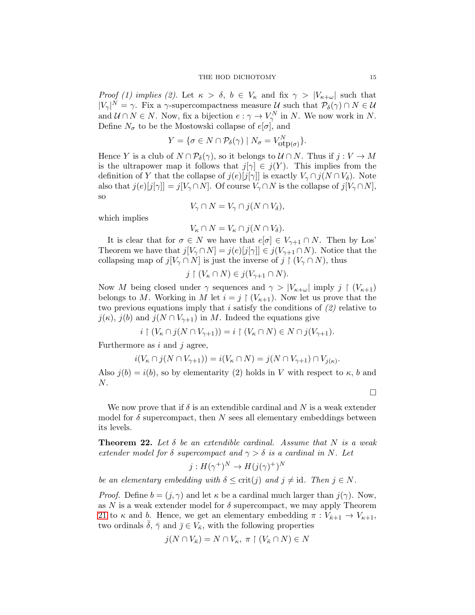Proof (1) implies (2). Let  $\kappa > \delta$ ,  $b \in V_{\kappa}$  and fix  $\gamma > |V_{\kappa+\omega}|$  such that  $|V_{\gamma}|^{N} = \gamma$ . Fix a  $\gamma$ -supercompactness measure U such that  $\mathcal{P}_{\delta}(\gamma) \cap N \in \mathcal{U}$ and  $\mathcal{U} \cap N \in N$ . Now, fix a bijection  $e : \gamma \to V_{\gamma}^N$  in N. We now work in N. Define  $N_{\sigma}$  to be the Mostowski collapse of  $e[\sigma]$ , and

$$
Y = \{ \sigma \in N \cap \mathcal{P}_{\delta}(\gamma) \mid N_{\sigma} = V_{\text{otp}(\sigma)}^N \}.
$$

Hence Y is a club of  $N \cap \mathcal{P}_{\delta}(\gamma)$ , so it belongs to  $\mathcal{U} \cap N$ . Thus if  $j : V \to M$ is the ultrapower map it follows that  $j[\gamma] \in j(Y)$ . This implies from the definition of Y that the collapse of  $j(e)[j[\gamma]]$  is exactly  $V_{\gamma} \cap j(N \cap V_{\delta})$ . Note also that  $j(e)[j[\gamma]] = j[V_{\gamma} \cap N]$ . Of course  $V_{\gamma} \cap N$  is the collapse of  $j[V_{\gamma} \cap N]$ , so

$$
V_{\gamma} \cap N = V_{\gamma} \cap j(N \cap V_{\delta}),
$$

which implies

$$
V_{\kappa} \cap N = V_{\kappa} \cap j(N \cap V_{\delta}).
$$

It is clear that for  $\sigma \in N$  we have that  $e[\sigma] \in V_{\gamma+1} \cap N$ . Then by Los' Theorem we have that  $j[V_\gamma \cap N] = j(e)[j[\gamma]] \in j(V_{\gamma+1} \cap N)$ . Notice that the collapsing map of  $j[V_\gamma \cap N]$  is just the inverse of  $j \restriction (V_\gamma \cap N)$ , thus

$$
j \restriction (V_{\kappa} \cap N) \in j(V_{\gamma+1} \cap N).
$$

Now M being closed under  $\gamma$  sequences and  $\gamma > |V_{\kappa+\omega}|$  imply  $j \restriction (V_{\kappa+1})$ belongs to M. Working in M let  $i = j \restriction (V_{\kappa+1})$ . Now let us prove that the two previous equations imply that i satisfy the conditions of  $(2)$  relative to  $j(\kappa)$ ,  $j(b)$  and  $j(N \cap V_{\gamma+1})$  in M. Indeed the equations give

$$
i \upharpoonright (V_{\kappa} \cap j(N \cap V_{\gamma+1})) = i \upharpoonright (V_{\kappa} \cap N) \in N \cap j(V_{\gamma+1}).
$$

Furthermore as  $i$  and  $j$  agree,

$$
i(V_{\kappa} \cap j(N \cap V_{\gamma+1})) = i(V_{\kappa} \cap N) = j(N \cap V_{\gamma+1}) \cap V_{j(\kappa)}
$$

Also  $j(b) = i(b)$ , so by elementarity (2) holds in V with respect to  $\kappa$ , b and  $N$ .

 $\Box$ 

.

We now prove that if  $\delta$  is an extendible cardinal and N is a weak extender model for  $\delta$  supercompact, then N sees all elementary embeddings between its levels.

<span id="page-14-0"></span>**Theorem 22.** Let  $\delta$  be an extendible cardinal. Assume that N is a weak extender model for  $\delta$  supercompact and  $\gamma > \delta$  is a cardinal in N. Let

$$
j: H(\gamma^+)^N \to H(j(\gamma)^+)^N
$$

be an elementary embedding with  $\delta \leq \text{crit}(j)$  and  $j \neq \text{id}$ . Then  $j \in N$ .

*Proof.* Define  $b = (j, \gamma)$  and let  $\kappa$  be a cardinal much larger than  $j(\gamma)$ . Now, as N is a weak extender model for  $\delta$  supercompact, we may apply Theorem [21](#page-13-0) to  $\kappa$  and b. Hence, we get an elementary embedding  $\pi : V_{\bar{\kappa}+1} \to V_{\kappa+1}$ , two ordinals  $\bar{\delta}$ ,  $\bar{\gamma}$  and  $\bar{j} \in V_{\bar{\kappa}}$ , with the following properties

$$
j(N \cap V_{\bar{\kappa}}) = N \cap V_{\kappa}, \ \pi \restriction (V_{\bar{\kappa}} \cap N) \in N
$$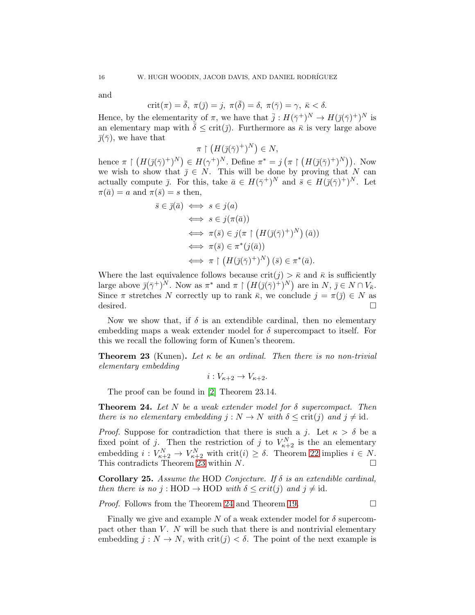and

$$
crit(\pi)=\overline{\delta}, \ \pi(\overline{\jmath})=j, \ \pi(\overline{\delta})=\delta, \ \pi(\overline{\gamma})=\gamma, \ \overline{\kappa}<\delta.
$$

Hence, by the elementarity of  $\pi$ , we have that  $\bar{j}: H(\bar{\gamma}^+)^N \to H(\bar{j}(\bar{\gamma})^+)^N$  is an elementary map with  $\bar{\delta} \leq \text{crit}(\bar{\jmath})$ . Furthermore as  $\bar{\kappa}$  is very large above  $\bar{\eta}(\bar{\gamma})$ , we have that

$$
\pi \restriction (H(\bar{\jmath}(\bar{\gamma})^+)^N) \in N,
$$

hence  $\pi \restriction (H(\bar{\jmath}(\bar{\gamma})^+)^N) \in H(\gamma^+)^N$ . Define  $\pi^* = j \left( \pi \restriction (H(\bar{\jmath}(\bar{\gamma})^+)^N) \right)$ . Now we wish to show that  $\overline{j} \in N$ . This will be done by proving that N can actually compute  $\bar{j}$ . For this, take  $\bar{a} \in H(\bar{\gamma}^+)^N$  and  $\bar{s} \in H(\bar{j}(\bar{\gamma})^+)^N$ . Let  $\pi(\bar{a}) = a$  and  $\pi(\bar{s}) = s$  then,

$$
\bar{s} \in \bar{\jmath}(\bar{a}) \iff s \in j(a)
$$
  
\n
$$
\iff s \in j(\pi(\bar{a}))
$$
  
\n
$$
\iff \pi(\bar{s}) \in j(\pi \upharpoonright (H(\bar{\jmath}(\bar{\gamma})^+)^N)(\bar{a}))
$$
  
\n
$$
\iff \pi(\bar{s}) \in \pi^*(j(\bar{a}))
$$
  
\n
$$
\iff \pi \upharpoonright (H(\bar{\jmath}(\bar{\gamma})^+)^N)(\bar{s}) \in \pi^*(\bar{a}).
$$

Where the last equivalence follows because  $\text{crit}(j) > \bar{\kappa}$  and  $\bar{\kappa}$  is sufficiently large above  $\bar{\jmath}(\bar{\gamma}^+)^N$ . Now as  $\pi^*$  and  $\pi \restriction (H(\bar{\jmath}(\bar{\gamma})^+)^N)$  are in  $N, \bar{\jmath} \in N \cap V_{\bar{\kappa}}$ . Since  $\pi$  stretches N correctly up to rank  $\bar{\kappa}$ , we conclude  $j = \pi(\bar{j}) \in N$  as desired.  $\Box$ 

Now we show that, if  $\delta$  is an extendible cardinal, then no elementary embedding maps a weak extender model for  $\delta$  supercompact to itself. For this we recall the following form of Kunen's theorem.

<span id="page-15-0"></span>**Theorem 23** (Kunen). Let  $\kappa$  be an ordinal. Then there is no non-trivial elementary embedding

 $i: V_{\kappa+2} \to V_{\kappa+2}.$ 

The proof can be found in [\[2\]](#page-18-4) Theorem 23.14.

<span id="page-15-1"></span>**Theorem 24.** Let N be a weak extender model for  $\delta$  supercompact. Then there is no elementary embedding  $j : N \to N$  with  $\delta \leq \text{crit}(j)$  and  $j \neq \text{id}$ .

*Proof.* Suppose for contradiction that there is such a j. Let  $\kappa > \delta$  be a fixed point of j. Then the restriction of j to  $V_{\kappa+2}^N$  is the an elementary embedding  $i: V_{\kappa+2}^N \to V_{\kappa+2}^N$  with crit $(i) \geq \delta$ . Theorem [22](#page-14-0) implies  $i \in N$ . This contradicts Theorem [23](#page-15-0) within  $N$ .

Corollary 25. Assume the HOD Conjecture. If  $\delta$  is an extendible cardinal, then there is no j: HOD  $\rightarrow$  HOD with  $\delta \leq crit(j)$  and  $j \neq id$ .

*Proof.* Follows from the Theorem [24](#page-15-1) and Theorem [19.](#page-11-2)  $\Box$ 

Finally we give and example N of a weak extender model for  $\delta$  supercompact other than  $V$ . N will be such that there is and nontrivial elementary embedding  $j: N \to N$ , with crit $(j) < \delta$ . The point of the next example is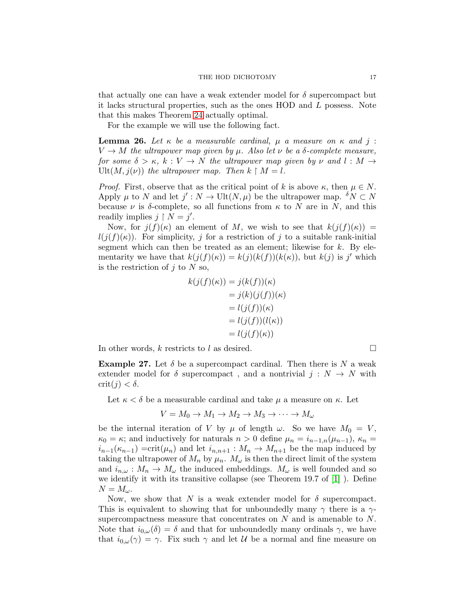that actually one can have a weak extender model for  $\delta$  supercompact but it lacks structural properties, such as the ones HOD and L possess. Note that this makes Theorem [24](#page-15-1) actually optimal.

For the example we will use the following fact.

<span id="page-16-0"></span>**Lemma 26.** Let  $\kappa$  be a measurable cardinal,  $\mu$  a measure on  $\kappa$  and j:  $V \to M$  the ultrapower map given by  $\mu$ . Also let  $\nu$  be a  $\delta$ -complete measure, for some  $\delta > \kappa$ ,  $k : V \to N$  the ultrapower map given by  $\nu$  and  $l : M \to$ Ult $(M, j(\nu))$  the ultrapower map. Then  $k \upharpoonright M = l$ .

*Proof.* First, observe that as the critical point of k is above  $\kappa$ , then  $\mu \in N$ . Apply  $\mu$  to N and let  $j': N \to \text{Ult}(N,\mu)$  be the ultrapower map.  $\delta N \subset N$ because  $\nu$  is δ-complete, so all functions from  $\kappa$  to N are in N, and this readily implies  $j \restriction N = j'$ .

Now, for  $j(f)(\kappa)$  an element of M, we wish to see that  $k(j(f)(\kappa)) =$  $l(j(f)(\kappa))$ . For simplicity, j for a restriction of j to a suitable rank-initial segment which can then be treated as an element; likewise for  $k$ . By elementarity we have that  $k(j(f)(\kappa)) = k(j)(k(f))(k(\kappa))$ , but  $k(j)$  is j' which is the restriction of  $j$  to  $N$  so,

$$
k(j(f)(\kappa)) = j(k(f))(\kappa)
$$
  
=  $j(k)(j(f))(\kappa)$   
=  $l(j(f))(\kappa)$   
=  $l(j(f))l(\kappa)$   
=  $l(j(f)(\kappa))$ 

In other words, k restricts to l as desired.  $\square$ 

**Example 27.** Let  $\delta$  be a supercompact cardinal. Then there is N a weak extender model for  $\delta$  supercompact, and a nontrivial  $j : N \to N$  with  $crit(j) < \delta$ .

Let  $\kappa < \delta$  be a measurable cardinal and take  $\mu$  a measure on  $\kappa$ . Let

$$
V = M_0 \to M_1 \to M_2 \to M_3 \to \cdots \to M_\omega
$$

be the internal iteration of V by  $\mu$  of length  $\omega$ . So we have  $M_0 = V$ ,  $\kappa_0 = \kappa$ ; and inductively for naturals  $n > 0$  define  $\mu_n = i_{n-1,n}(\mu_{n-1}), \kappa_n =$  $i_{n-1}(\kappa_{n-1}) = \text{crit}(\mu_n)$  and let  $i_{n,n+1} : M_n \to M_{n+1}$  be the map induced by taking the ultrapower of  $M_n$  by  $\mu_n$ .  $M_\omega$  is then the direct limit of the system and  $i_{n,\omega}: M_n \to M_\omega$  the induced embeddings.  $M_\omega$  is well founded and so we identify it with its transitive collapse (see Theorem 19.7 of [\[1\]](#page-18-2) ). Define  $N = M_{\omega}$ .

Now, we show that N is a weak extender model for  $\delta$  supercompact. This is equivalent to showing that for unboundedly many  $\gamma$  there is a  $\gamma$ supercompactness measure that concentrates on  $N$  and is amenable to  $N$ . Note that  $i_{0,\omega}(\delta) = \delta$  and that for unboundedly many ordinals  $\gamma$ , we have that  $i_{0,\omega}(\gamma) = \gamma$ . Fix such  $\gamma$  and let U be a normal and fine measure on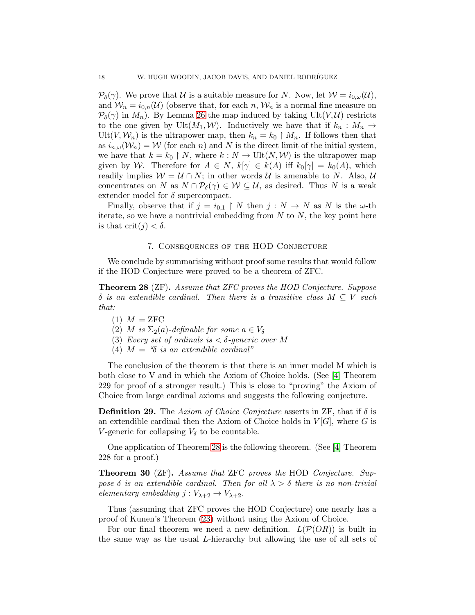$\mathcal{P}_{\delta}(\gamma)$ . We prove that U is a suitable measure for N. Now, let  $\mathcal{W} = i_{0,\omega}(\mathcal{U}),$ and  $W_n = i_{0,n}(\mathcal{U})$  (observe that, for each n,  $W_n$  is a normal fine measure on  $\mathcal{P}_{\delta}(\gamma)$  in  $M_n$ ). By Lemma [26](#page-16-0) the map induced by taking Ult $(V, \mathcal{U})$  restricts to the one given by Ult $(M_1, W)$ . Inductively we have that if  $k_n : M_n \to$  $Ult(V,\mathcal{W}_n)$  is the ultrapower map, then  $k_n = k_0 \restriction M_n$ . If follows then that as  $i_{n,\omega}(\mathcal{W}_n) = \mathcal{W}$  (for each n) and N is the direct limit of the initial system, we have that  $k = k_0 \restriction N$ , where  $k : N \to \text{Ult}(N, \mathcal{W})$  is the ultrapower map given by W. Therefore for  $A \in N$ ,  $k[\gamma] \in k(A)$  iff  $k_0[\gamma] = k_0(A)$ , which readily implies  $W = U \cap N$ ; in other words U is amenable to N. Also, U concentrates on N as  $N \cap \mathcal{P}_{\delta}(\gamma) \in \mathcal{W} \subseteq \mathcal{U}$ , as desired. Thus N is a weak extender model for  $\delta$  supercompact.

Finally, observe that if  $j = i_{0,1} \restriction N$  then  $j : N \to N$  as N is the  $\omega$ -th iterate, so we have a nontrivial embedding from  $N$  to  $N$ , the key point here is that  $\text{crit}(j) < \delta$ .

### 7. Consequences of the HOD Conjecture

<span id="page-17-0"></span>We conclude by summarising without proof some results that would follow if the HOD Conjecture were proved to be a theorem of ZFC.

<span id="page-17-1"></span>Theorem 28 (ZF). Assume that ZFC proves the HOD Conjecture. Suppose  $\delta$  is an extendible cardinal. Then there is a transitive class  $M \subseteq V$  such that:

- $(1)$   $M \models$  ZFC
- (2) M is  $\Sigma_2(a)$ -definable for some  $a \in V_\delta$
- (3) Every set of ordinals is  $\lt \delta$ -generic over M
- (4)  $M \models$  " $\delta$  is an extendible cardinal"

The conclusion of the theorem is that there is an inner model M which is both close to V and in which the Axiom of Choice holds. (See [\[4\]](#page-18-0) Theorem 229 for proof of a stronger result.) This is close to "proving" the Axiom of Choice from large cardinal axioms and suggests the following conjecture.

**Definition 29.** The Axiom of Choice Conjecture asserts in ZF, that if  $\delta$  is an extendible cardinal then the Axiom of Choice holds in  $V[G]$ , where G is V-generic for collapsing  $V_{\delta}$  to be countable.

One application of Theorem [28](#page-17-1) is the following theorem. (See [\[4\]](#page-18-0) Theorem 228 for a proof.)

Theorem 30 (ZF). Assume that ZFC proves the HOD Conjecture. Suppose  $\delta$  is an extendible cardinal. Then for all  $\lambda > \delta$  there is no non-trivial elementary embedding  $j: V_{\lambda+2} \to V_{\lambda+2}$ .

Thus (assuming that ZFC proves the HOD Conjecture) one nearly has a proof of Kunen's Theorem [\(23\)](#page-15-0) without using the Axiom of Choice.

For our final theorem we need a new definition.  $L(\mathcal{P}(OR))$  is built in the same way as the usual L-hierarchy but allowing the use of all sets of